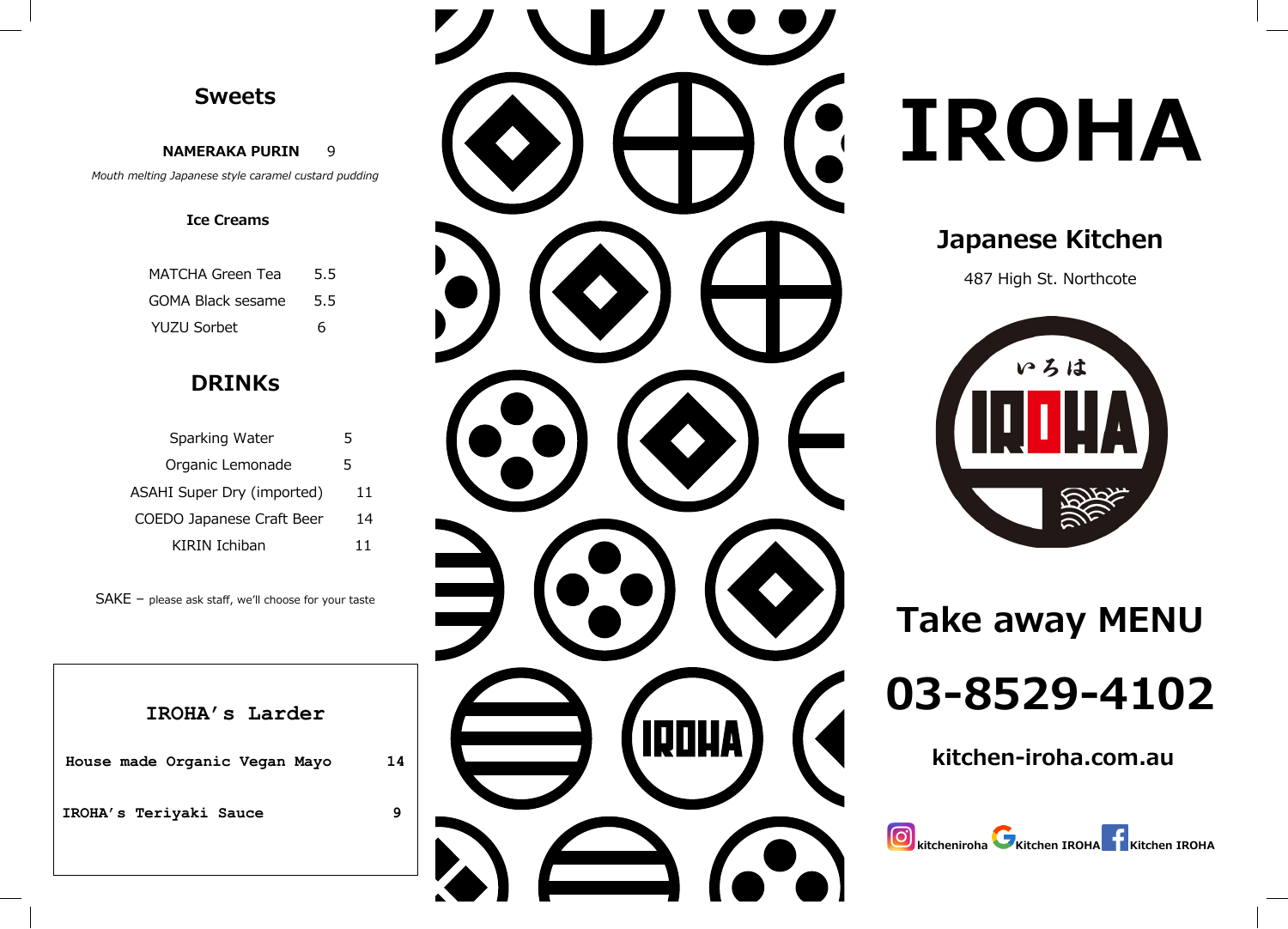## **Sweets Sweets**

 **NAMERAKA P U RIN NAMERAKA P U RIN**  Mouth melting Japanese style caramel custard pudding 9

#### **Ice Creams** **Ice Creams**

| MATCHA Green Tea         | 5.5 |
|--------------------------|-----|
| <b>GOMA Black sesame</b> | 5.5 |
| YUZU Sorbet              | 6   |

## **DRINK DRINK s**

| Sparking Water             |    |
|----------------------------|----|
| Organic Lemonade           | 5  |
| ASAHI Super Dry (imported) | 11 |
| COEDO Japanese Craft Beer  | 14 |
| KIRIN Ichiban              | 11 |
|                            |    |

SAKE – please ask staff, we'll choose for your taste SAKE – please ask staff, we'll choose for your taste

**IROHA's Larder**

**House made Organic Vegan Mayo 14**

**IROHA's Teriyak i Sauce** 



# **IROHA IROHA IROHA**

# **Japanese Kitchen Japanese Kitchen**

487 High St. Northcote 487 High St. Northcote **Japanese Kitchen** 



**Take away MENU Take away MENU Take away MENU**

**03 -8529 -4102 03 -8529 -4102 03 -8529 -4102**

**kitchen -iroha.com.au kitchen -iroha.com.au**